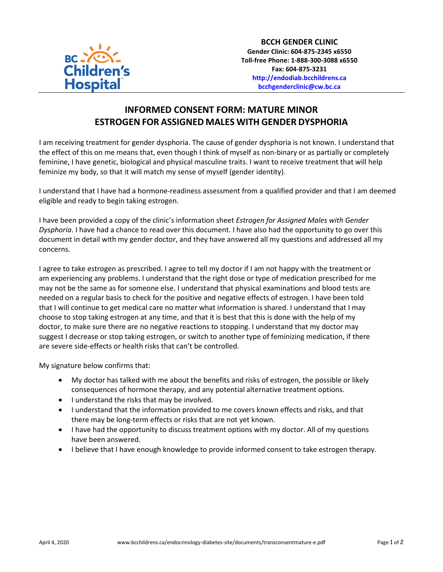

## **INFORMED CONSENT FORM: MATURE MINOR ESTROGEN FOR ASSIGNED MALES WITH GENDER DYSPHORIA**

I am receiving treatment for gender dysphoria. The cause of gender dysphoria is not known. I understand that the effect of this on me means that, even though I think of myself as non-binary or as partially or completely feminine, I have genetic, biological and physical masculine traits. I want to receive treatment that will help feminize my body, so that it will match my sense of myself (gender identity).

I understand that I have had a hormone-readiness assessment from a qualified provider and that I am deemed eligible and ready to begin taking estrogen.

I have been provided a copy of the clinic's information sheet *Estrogen for Assigned Males with Gender Dysphoria*. I have had a chance to read over this document. I have also had the opportunity to go over this document in detail with my gender doctor, and they have answered all my questions and addressed all my concerns.

I agree to take estrogen as prescribed. I agree to tell my doctor if I am not happy with the treatment or am experiencing any problems. I understand that the right dose or type of medication prescribed for me may not be the same as for someone else. I understand that physical examinations and blood tests are needed on a regular basis to check for the positive and negative effects of estrogen. I have been told that I will continue to get medical care no matter what information is shared. I understand that I may choose to stop taking estrogen at any time, and that it is best that this is done with the help of my doctor, to make sure there are no negative reactions to stopping. I understand that my doctor may suggest I decrease or stop taking estrogen, or switch to another type of feminizing medication, if there are severe side-effects or health risks that can't be controlled.

My signature below confirms that:

- My doctor has talked with me about the benefits and risks of estrogen, the possible or likely consequences of hormone therapy, and any potential alternative treatment options.
- I understand the risks that may be involved.
- I understand that the information provided to me covers known effects and risks, and that there may be long-term effects or risks that are not yet known.
- I have had the opportunity to discuss treatment options with my doctor. All of my questions have been answered.
- I believe that I have enough knowledge to provide informed consent to take estrogen therapy.